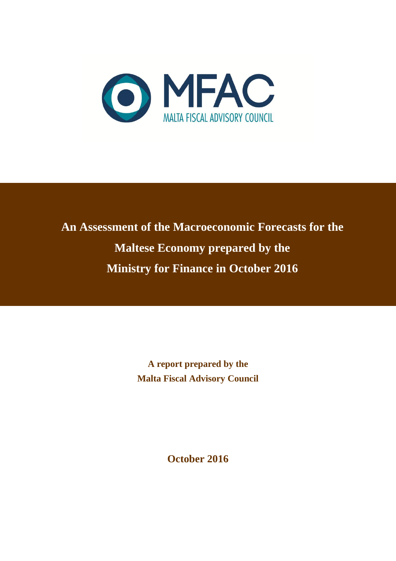

# **An Assessment of the Macroeconomic Forecasts for the Maltese Economy prepared by the Ministry for Finance in October 2016**

**A report prepared by the Malta Fiscal Advisory Council**

**October 2016**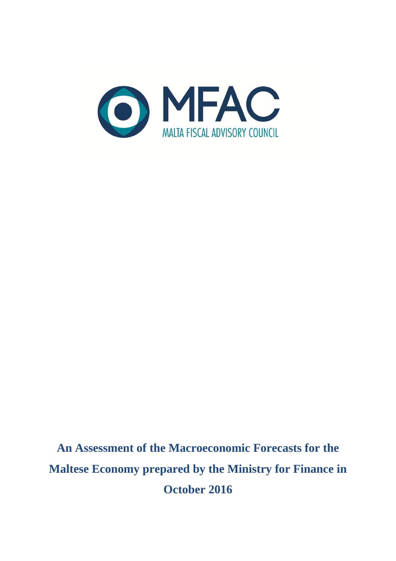

**An Assessment of the Macroeconomic Forecasts for the Maltese Economy prepared by the Ministry for Finance in October 2016**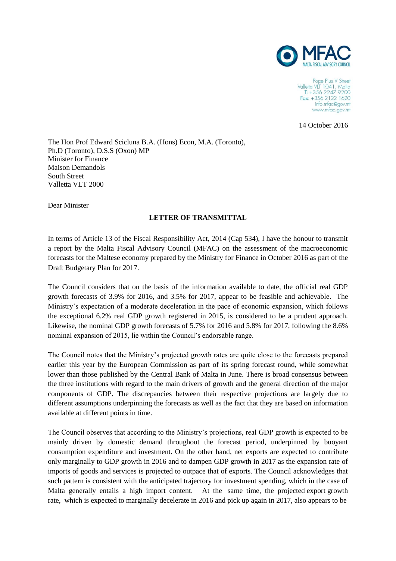

Pope Pius V Street Valletta VLT 1041, Malta<br>T: +356 2247 9200 Fax: +356 2122 1620 info.mfac@gov.mt www.mfac.gov.mt

14 October 2016

The Hon Prof Edward Scicluna B.A. (Hons) Econ, M.A. (Toronto), Ph.D (Toronto), D.S.S (Oxon) MP Minister for Finance Maison Demandols South Street Valletta VLT 2000

Dear Minister

#### **LETTER OF TRANSMITTAL**

In terms of Article 13 of the Fiscal Responsibility Act, 2014 (Cap 534), I have the honour to transmit a report by the Malta Fiscal Advisory Council (MFAC) on the assessment of the macroeconomic forecasts for the Maltese economy prepared by the Ministry for Finance in October 2016 as part of the Draft Budgetary Plan for 2017.

The Council considers that on the basis of the information available to date, the official real GDP growth forecasts of 3.9% for 2016, and 3.5% for 2017, appear to be feasible and achievable. The Ministry's expectation of a moderate deceleration in the pace of economic expansion, which follows the exceptional 6.2% real GDP growth registered in 2015, is considered to be a prudent approach. Likewise, the nominal GDP growth forecasts of 5.7% for 2016 and 5.8% for 2017, following the 8.6% nominal expansion of 2015, lie within the Council's endorsable range.

The Council notes that the Ministry's projected growth rates are quite close to the forecasts prepared earlier this year by the European Commission as part of its spring forecast round, while somewhat lower than those published by the Central Bank of Malta in June. There is broad consensus between the three institutions with regard to the main drivers of growth and the general direction of the major components of GDP. The discrepancies between their respective projections are largely due to different assumptions underpinning the forecasts as well as the fact that they are based on information available at different points in time.

The Council observes that according to the Ministry's projections, real GDP growth is expected to be mainly driven by domestic demand throughout the forecast period, underpinned by buoyant consumption expenditure and investment. On the other hand, net exports are expected to contribute only marginally to GDP growth in 2016 and to dampen GDP growth in 2017 as the expansion rate of imports of goods and services is projected to outpace that of exports. The Council acknowledges that such pattern is consistent with the anticipated trajectory for investment spending, which in the case of Malta generally entails a high import content. At the same time, the projected export growth rate, which is expected to marginally decelerate in 2016 and pick up again in 2017, also appears to be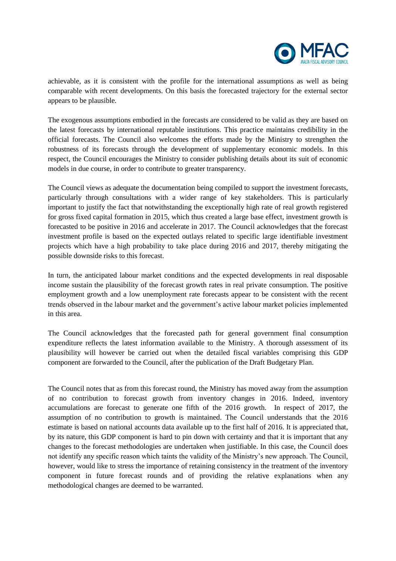

achievable, as it is consistent with the profile for the international assumptions as well as being comparable with recent developments. On this basis the forecasted trajectory for the external sector appears to be plausible.

The exogenous assumptions embodied in the forecasts are considered to be valid as they are based on the latest forecasts by international reputable institutions. This practice maintains credibility in the official forecasts. The Council also welcomes the efforts made by the Ministry to strengthen the robustness of its forecasts through the development of supplementary economic models. In this respect, the Council encourages the Ministry to consider publishing details about its suit of economic models in due course, in order to contribute to greater transparency.

The Council views as adequate the documentation being compiled to support the investment forecasts, particularly through consultations with a wider range of key stakeholders. This is particularly important to justify the fact that notwithstanding the exceptionally high rate of real growth registered for gross fixed capital formation in 2015, which thus created a large base effect, investment growth is forecasted to be positive in 2016 and accelerate in 2017. The Council acknowledges that the forecast investment profile is based on the expected outlays related to specific large identifiable investment projects which have a high probability to take place during 2016 and 2017, thereby mitigating the possible downside risks to this forecast.

In turn, the anticipated labour market conditions and the expected developments in real disposable income sustain the plausibility of the forecast growth rates in real private consumption. The positive employment growth and a low unemployment rate forecasts appear to be consistent with the recent trends observed in the labour market and the government's active labour market policies implemented in this area.

The Council acknowledges that the forecasted path for general government final consumption expenditure reflects the latest information available to the Ministry. A thorough assessment of its plausibility will however be carried out when the detailed fiscal variables comprising this GDP component are forwarded to the Council, after the publication of the Draft Budgetary Plan.

The Council notes that as from this forecast round, the Ministry has moved away from the assumption of no contribution to forecast growth from inventory changes in 2016. Indeed, inventory accumulations are forecast to generate one fifth of the 2016 growth. In respect of 2017, the assumption of no contribution to growth is maintained. The Council understands that the 2016 estimate is based on national accounts data available up to the first half of 2016. It is appreciated that, by its nature, this GDP component is hard to pin down with certainty and that it is important that any changes to the forecast methodologies are undertaken when justifiable. In this case, the Council does not identify any specific reason which taints the validity of the Ministry's new approach. The Council, however, would like to stress the importance of retaining consistency in the treatment of the inventory component in future forecast rounds and of providing the relative explanations when any methodological changes are deemed to be warranted.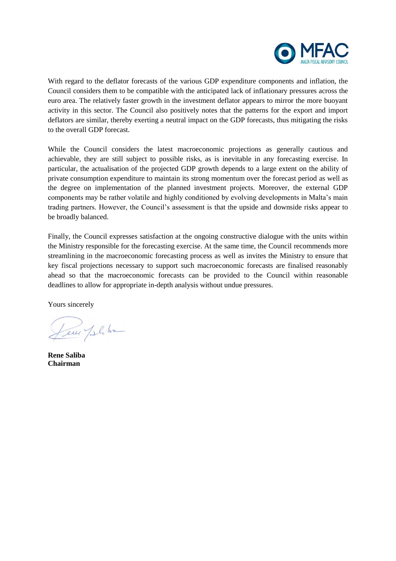

With regard to the deflator forecasts of the various GDP expenditure components and inflation, the Council considers them to be compatible with the anticipated lack of inflationary pressures across the euro area. The relatively faster growth in the investment deflator appears to mirror the more buoyant activity in this sector. The Council also positively notes that the patterns for the export and import deflators are similar, thereby exerting a neutral impact on the GDP forecasts, thus mitigating the risks to the overall GDP forecast.

While the Council considers the latest macroeconomic projections as generally cautious and achievable, they are still subject to possible risks, as is inevitable in any forecasting exercise. In particular, the actualisation of the projected GDP growth depends to a large extent on the ability of private consumption expenditure to maintain its strong momentum over the forecast period as well as the degree on implementation of the planned investment projects. Moreover, the external GDP components may be rather volatile and highly conditioned by evolving developments in Malta's main trading partners. However, the Council's assessment is that the upside and downside risks appear to be broadly balanced.

Finally, the Council expresses satisfaction at the ongoing constructive dialogue with the units within the Ministry responsible for the forecasting exercise. At the same time, the Council recommends more streamlining in the macroeconomic forecasting process as well as invites the Ministry to ensure that key fiscal projections necessary to support such macroeconomic forecasts are finalised reasonably ahead so that the macroeconomic forecasts can be provided to the Council within reasonable deadlines to allow for appropriate in-depth analysis without undue pressures.

Yours sincerely

Leve Jelise

**Rene Saliba Chairman**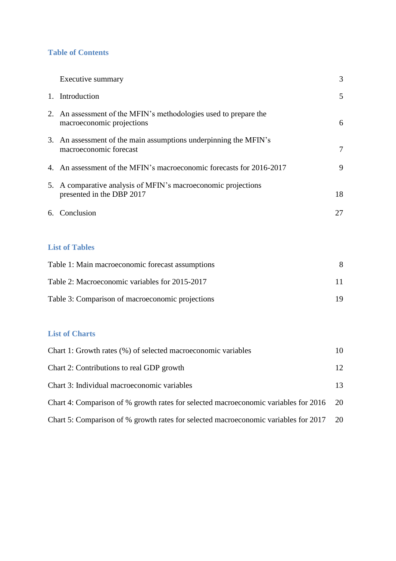## **Table of Contents**

| Executive summary                                                                             | 3              |
|-----------------------------------------------------------------------------------------------|----------------|
| 1. Introduction                                                                               | 5              |
| 2. An assessment of the MFIN's methodologies used to prepare the<br>macroeconomic projections | 6              |
| 3. An assessment of the main assumptions underpinning the MFIN's<br>macroeconomic forecast    | $\overline{7}$ |
| 4. An assessment of the MFIN's macroeconomic forecasts for 2016-2017                          | 9              |
| 5. A comparative analysis of MFIN's macroeconomic projections<br>presented in the DBP 2017    | 18             |
| 6. Conclusion                                                                                 | 27             |
|                                                                                               |                |
| <b>List of Tables</b>                                                                         |                |
| Table 1: Main macroeconomic forecast assumptions                                              | 8              |
| Table 2: Macroeconomic variables for 2015-2017                                                | 11             |
| Table 3: Comparison of macroeconomic projections                                              | 19             |

# **List of Charts**

| Chart 1: Growth rates (%) of selected macroeconomic variables                          | 10              |
|----------------------------------------------------------------------------------------|-----------------|
| Chart 2: Contributions to real GDP growth                                              | 12 <sup>°</sup> |
| Chart 3: Individual macroeconomic variables                                            | 13              |
| Chart 4: Comparison of % growth rates for selected macroeconomic variables for 2016 20 |                 |
| Chart 5: Comparison of % growth rates for selected macroeconomic variables for 2017 20 |                 |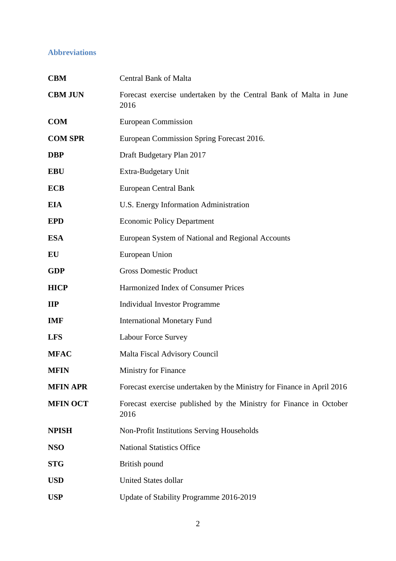# **Abbreviations**

| <b>CBM</b>               | <b>Central Bank of Malta</b>                                               |  |  |  |  |  |
|--------------------------|----------------------------------------------------------------------------|--|--|--|--|--|
| <b>CBM JUN</b>           | Forecast exercise undertaken by the Central Bank of Malta in June<br>2016  |  |  |  |  |  |
| <b>COM</b>               | <b>European Commission</b>                                                 |  |  |  |  |  |
| <b>COM SPR</b>           | European Commission Spring Forecast 2016.                                  |  |  |  |  |  |
| <b>DBP</b>               | Draft Budgetary Plan 2017                                                  |  |  |  |  |  |
| <b>EBU</b>               | Extra-Budgetary Unit                                                       |  |  |  |  |  |
| <b>ECB</b>               | <b>European Central Bank</b>                                               |  |  |  |  |  |
| <b>EIA</b>               | U.S. Energy Information Administration                                     |  |  |  |  |  |
| <b>EPD</b>               | <b>Economic Policy Department</b>                                          |  |  |  |  |  |
| <b>ESA</b>               | European System of National and Regional Accounts                          |  |  |  |  |  |
| EU                       | <b>European Union</b>                                                      |  |  |  |  |  |
| <b>GDP</b>               | <b>Gross Domestic Product</b>                                              |  |  |  |  |  |
| <b>HICP</b>              | Harmonized Index of Consumer Prices                                        |  |  |  |  |  |
| $\mathbf{II} \mathbf{P}$ | <b>Individual Investor Programme</b>                                       |  |  |  |  |  |
| <b>IMF</b>               | <b>International Monetary Fund</b>                                         |  |  |  |  |  |
| <b>LFS</b>               | Labour Force Survey                                                        |  |  |  |  |  |
| <b>MFAC</b>              | <b>Malta Fiscal Advisory Council</b>                                       |  |  |  |  |  |
| <b>MFIN</b>              | <b>Ministry for Finance</b>                                                |  |  |  |  |  |
| <b>MFIN APR</b>          | Forecast exercise undertaken by the Ministry for Finance in April 2016     |  |  |  |  |  |
| <b>MFIN OCT</b>          | Forecast exercise published by the Ministry for Finance in October<br>2016 |  |  |  |  |  |
| <b>NPISH</b>             | Non-Profit Institutions Serving Households                                 |  |  |  |  |  |
| <b>NSO</b>               | <b>National Statistics Office</b>                                          |  |  |  |  |  |
| <b>STG</b>               | British pound                                                              |  |  |  |  |  |
| <b>USD</b>               | <b>United States dollar</b>                                                |  |  |  |  |  |
| <b>USP</b>               | Update of Stability Programme 2016-2019                                    |  |  |  |  |  |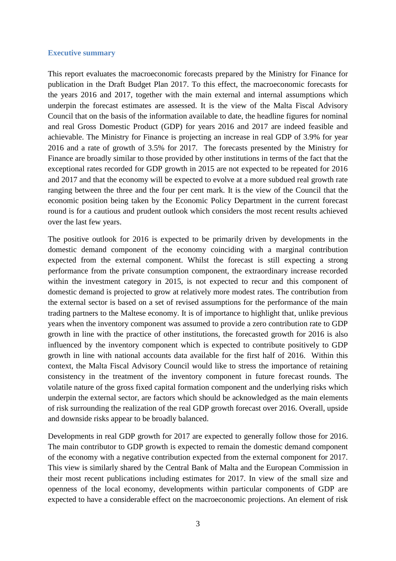#### **Executive summary**

This report evaluates the macroeconomic forecasts prepared by the Ministry for Finance for publication in the Draft Budget Plan 2017. To this effect, the macroeconomic forecasts for the years 2016 and 2017, together with the main external and internal assumptions which underpin the forecast estimates are assessed. It is the view of the Malta Fiscal Advisory Council that on the basis of the information available to date, the headline figures for nominal and real Gross Domestic Product (GDP) for years 2016 and 2017 are indeed feasible and achievable. The Ministry for Finance is projecting an increase in real GDP of 3.9% for year 2016 and a rate of growth of 3.5% for 2017. The forecasts presented by the Ministry for Finance are broadly similar to those provided by other institutions in terms of the fact that the exceptional rates recorded for GDP growth in 2015 are not expected to be repeated for 2016 and 2017 and that the economy will be expected to evolve at a more subdued real growth rate ranging between the three and the four per cent mark. It is the view of the Council that the economic position being taken by the Economic Policy Department in the current forecast round is for a cautious and prudent outlook which considers the most recent results achieved over the last few years.

The positive outlook for 2016 is expected to be primarily driven by developments in the domestic demand component of the economy coinciding with a marginal contribution expected from the external component. Whilst the forecast is still expecting a strong performance from the private consumption component, the extraordinary increase recorded within the investment category in 2015, is not expected to recur and this component of domestic demand is projected to grow at relatively more modest rates. The contribution from the external sector is based on a set of revised assumptions for the performance of the main trading partners to the Maltese economy. It is of importance to highlight that, unlike previous years when the inventory component was assumed to provide a zero contribution rate to GDP growth in line with the practice of other institutions, the forecasted growth for 2016 is also influenced by the inventory component which is expected to contribute positively to GDP growth in line with national accounts data available for the first half of 2016. Within this context, the Malta Fiscal Advisory Council would like to stress the importance of retaining consistency in the treatment of the inventory component in future forecast rounds. The volatile nature of the gross fixed capital formation component and the underlying risks which underpin the external sector, are factors which should be acknowledged as the main elements of risk surrounding the realization of the real GDP growth forecast over 2016. Overall, upside and downside risks appear to be broadly balanced.

Developments in real GDP growth for 2017 are expected to generally follow those for 2016. The main contributor to GDP growth is expected to remain the domestic demand component of the economy with a negative contribution expected from the external component for 2017. This view is similarly shared by the Central Bank of Malta and the European Commission in their most recent publications including estimates for 2017. In view of the small size and openness of the local economy, developments within particular components of GDP are expected to have a considerable effect on the macroeconomic projections. An element of risk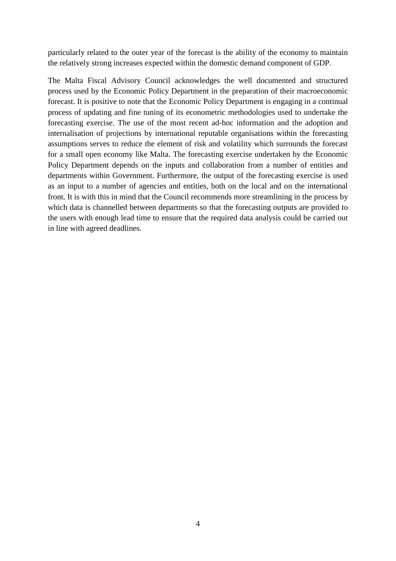particularly related to the outer year of the forecast is the ability of the economy to maintain the relatively strong increases expected within the domestic demand component of GDP.

The Malta Fiscal Advisory Council acknowledges the well documented and structured process used by the Economic Policy Department in the preparation of their macroeconomic forecast. It is positive to note that the Economic Policy Department is engaging in a continual process of updating and fine tuning of its econometric methodologies used to undertake the forecasting exercise. The use of the most recent ad-hoc information and the adoption and internalisation of projections by international reputable organisations within the forecasting assumptions serves to reduce the element of risk and volatility which surrounds the forecast for a small open economy like Malta. The forecasting exercise undertaken by the Economic Policy Department depends on the inputs and collaboration from a number of entities and departments within Government. Furthermore, the output of the forecasting exercise is used as an input to a number of agencies and entities, both on the local and on the international front. It is with this in mind that the Council recommends more streamlining in the process by which data is channelled between departments so that the forecasting outputs are provided to the users with enough lead time to ensure that the required data analysis could be carried out in line with agreed deadlines.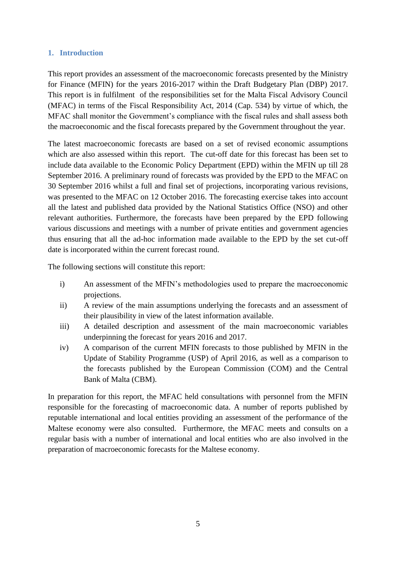### **1. Introduction**

This report provides an assessment of the macroeconomic forecasts presented by the Ministry for Finance (MFIN) for the years 2016-2017 within the Draft Budgetary Plan (DBP) 2017. This report is in fulfilment of the responsibilities set for the Malta Fiscal Advisory Council (MFAC) in terms of the Fiscal Responsibility Act, 2014 (Cap. 534) by virtue of which, the MFAC shall monitor the Government's compliance with the fiscal rules and shall assess both the macroeconomic and the fiscal forecasts prepared by the Government throughout the year.

The latest macroeconomic forecasts are based on a set of revised economic assumptions which are also assessed within this report. The cut-off date for this forecast has been set to include data available to the Economic Policy Department (EPD) within the MFIN up till 28 September 2016. A preliminary round of forecasts was provided by the EPD to the MFAC on 30 September 2016 whilst a full and final set of projections, incorporating various revisions, was presented to the MFAC on 12 October 2016. The forecasting exercise takes into account all the latest and published data provided by the National Statistics Office (NSO) and other relevant authorities. Furthermore, the forecasts have been prepared by the EPD following various discussions and meetings with a number of private entities and government agencies thus ensuring that all the ad-hoc information made available to the EPD by the set cut-off date is incorporated within the current forecast round.

The following sections will constitute this report:

- i) An assessment of the MFIN's methodologies used to prepare the macroeconomic projections.
- ii) A review of the main assumptions underlying the forecasts and an assessment of their plausibility in view of the latest information available.
- iii) A detailed description and assessment of the main macroeconomic variables underpinning the forecast for years 2016 and 2017.
- iv) A comparison of the current MFIN forecasts to those published by MFIN in the Update of Stability Programme (USP) of April 2016, as well as a comparison to the forecasts published by the European Commission (COM) and the Central Bank of Malta (CBM).

In preparation for this report, the MFAC held consultations with personnel from the MFIN responsible for the forecasting of macroeconomic data. A number of reports published by reputable international and local entities providing an assessment of the performance of the Maltese economy were also consulted. Furthermore, the MFAC meets and consults on a regular basis with a number of international and local entities who are also involved in the preparation of macroeconomic forecasts for the Maltese economy.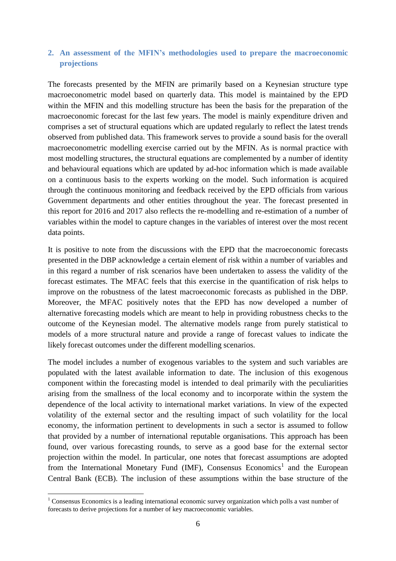## **2. An assessment of the MFIN's methodologies used to prepare the macroeconomic projections**

The forecasts presented by the MFIN are primarily based on a Keynesian structure type macroeconometric model based on quarterly data. This model is maintained by the EPD within the MFIN and this modelling structure has been the basis for the preparation of the macroeconomic forecast for the last few years. The model is mainly expenditure driven and comprises a set of structural equations which are updated regularly to reflect the latest trends observed from published data. This framework serves to provide a sound basis for the overall macroeconometric modelling exercise carried out by the MFIN. As is normal practice with most modelling structures, the structural equations are complemented by a number of identity and behavioural equations which are updated by ad-hoc information which is made available on a continuous basis to the experts working on the model. Such information is acquired through the continuous monitoring and feedback received by the EPD officials from various Government departments and other entities throughout the year. The forecast presented in this report for 2016 and 2017 also reflects the re-modelling and re-estimation of a number of variables within the model to capture changes in the variables of interest over the most recent data points.

It is positive to note from the discussions with the EPD that the macroeconomic forecasts presented in the DBP acknowledge a certain element of risk within a number of variables and in this regard a number of risk scenarios have been undertaken to assess the validity of the forecast estimates. The MFAC feels that this exercise in the quantification of risk helps to improve on the robustness of the latest macroeconomic forecasts as published in the DBP. Moreover, the MFAC positively notes that the EPD has now developed a number of alternative forecasting models which are meant to help in providing robustness checks to the outcome of the Keynesian model. The alternative models range from purely statistical to models of a more structural nature and provide a range of forecast values to indicate the likely forecast outcomes under the different modelling scenarios.

The model includes a number of exogenous variables to the system and such variables are populated with the latest available information to date. The inclusion of this exogenous component within the forecasting model is intended to deal primarily with the peculiarities arising from the smallness of the local economy and to incorporate within the system the dependence of the local activity to international market variations. In view of the expected volatility of the external sector and the resulting impact of such volatility for the local economy, the information pertinent to developments in such a sector is assumed to follow that provided by a number of international reputable organisations. This approach has been found, over various forecasting rounds, to serve as a good base for the external sector projection within the model. In particular, one notes that forecast assumptions are adopted from the International Monetary Fund (IMF), Consensus Economics<sup>1</sup> and the European Central Bank (ECB). The inclusion of these assumptions within the base structure of the

1

<sup>&</sup>lt;sup>1</sup> Consensus Economics is a leading international economic survey organization which polls a vast number of forecasts to derive projections for a number of key macroeconomic variables.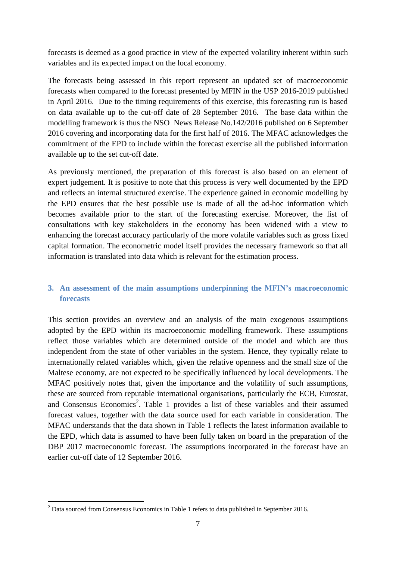forecasts is deemed as a good practice in view of the expected volatility inherent within such variables and its expected impact on the local economy.

The forecasts being assessed in this report represent an updated set of macroeconomic forecasts when compared to the forecast presented by MFIN in the USP 2016-2019 published in April 2016. Due to the timing requirements of this exercise, this forecasting run is based on data available up to the cut-off date of 28 September 2016. The base data within the modelling framework is thus the NSO News Release No.142/2016 published on 6 September 2016 covering and incorporating data for the first half of 2016. The MFAC acknowledges the commitment of the EPD to include within the forecast exercise all the published information available up to the set cut-off date.

As previously mentioned, the preparation of this forecast is also based on an element of expert judgement. It is positive to note that this process is very well documented by the EPD and reflects an internal structured exercise. The experience gained in economic modelling by the EPD ensures that the best possible use is made of all the ad-hoc information which becomes available prior to the start of the forecasting exercise. Moreover, the list of consultations with key stakeholders in the economy has been widened with a view to enhancing the forecast accuracy particularly of the more volatile variables such as gross fixed capital formation. The econometric model itself provides the necessary framework so that all information is translated into data which is relevant for the estimation process.

## **3. An assessment of the main assumptions underpinning the MFIN's macroeconomic forecasts**

This section provides an overview and an analysis of the main exogenous assumptions adopted by the EPD within its macroeconomic modelling framework. These assumptions reflect those variables which are determined outside of the model and which are thus independent from the state of other variables in the system. Hence, they typically relate to internationally related variables which, given the relative openness and the small size of the Maltese economy, are not expected to be specifically influenced by local developments. The MFAC positively notes that, given the importance and the volatility of such assumptions, these are sourced from reputable international organisations, particularly the ECB, Eurostat, and Consensus Economics<sup>2</sup>. Table 1 provides a list of these variables and their assumed forecast values, together with the data source used for each variable in consideration. The MFAC understands that the data shown in Table 1 reflects the latest information available to the EPD, which data is assumed to have been fully taken on board in the preparation of the DBP 2017 macroeconomic forecast. The assumptions incorporated in the forecast have an earlier cut-off date of 12 September 2016.

1

 $2$  Data sourced from Consensus Economics in Table 1 refers to data published in September 2016.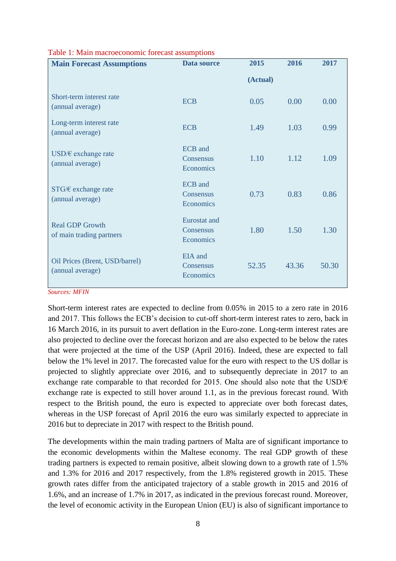| <b>Main Forecast Assumptions</b>                   | Data source                              | 2015     | 2016  | 2017  |
|----------------------------------------------------|------------------------------------------|----------|-------|-------|
|                                                    |                                          | (Actual) |       |       |
| Short-term interest rate<br>(annual average)       | <b>ECB</b>                               | 0.05     | 0.00  | 0.00  |
| Long-term interest rate<br>(annual average)        | <b>ECB</b>                               | 1.49     | 1.03  | 0.99  |
| USD/ $\epsilon$ exchange rate<br>(annual average)  | <b>ECB</b> and<br>Consensus<br>Economics | 1.10     | 1.12  | 1.09  |
| $STG/E$ exchange rate<br>(annual average)          | <b>ECB</b> and<br>Consensus<br>Economics | 0.73     | 0.83  | 0.86  |
| <b>Real GDP Growth</b><br>of main trading partners | Eurostat and<br>Consensus<br>Economics   | 1.80     | 1.50  | 1.30  |
| Oil Prices (Brent, USD/barrel)<br>(annual average) | EIA and<br>Consensus<br>Economics        | 52.35    | 43.36 | 50.30 |

#### Table 1: Main macroeconomic forecast assumptions

*Sources: MFIN*

Short-term interest rates are expected to decline from 0.05% in 2015 to a zero rate in 2016 and 2017. This follows the ECB's decision to cut-off short-term interest rates to zero, back in 16 March 2016, in its pursuit to avert deflation in the Euro-zone. Long-term interest rates are also projected to decline over the forecast horizon and are also expected to be below the rates that were projected at the time of the USP (April 2016). Indeed, these are expected to fall below the 1% level in 2017. The forecasted value for the euro with respect to the US dollar is projected to slightly appreciate over 2016, and to subsequently depreciate in 2017 to an exchange rate comparable to that recorded for 2015. One should also note that the USD/ $\epsilon$ exchange rate is expected to still hover around 1.1, as in the previous forecast round. With respect to the British pound, the euro is expected to appreciate over both forecast dates, whereas in the USP forecast of April 2016 the euro was similarly expected to appreciate in 2016 but to depreciate in 2017 with respect to the British pound.

The developments within the main trading partners of Malta are of significant importance to the economic developments within the Maltese economy. The real GDP growth of these trading partners is expected to remain positive, albeit slowing down to a growth rate of 1.5% and 1.3% for 2016 and 2017 respectively, from the 1.8% registered growth in 2015. These growth rates differ from the anticipated trajectory of a stable growth in 2015 and 2016 of 1.6%, and an increase of 1.7% in 2017, as indicated in the previous forecast round. Moreover, the level of economic activity in the European Union (EU) is also of significant importance to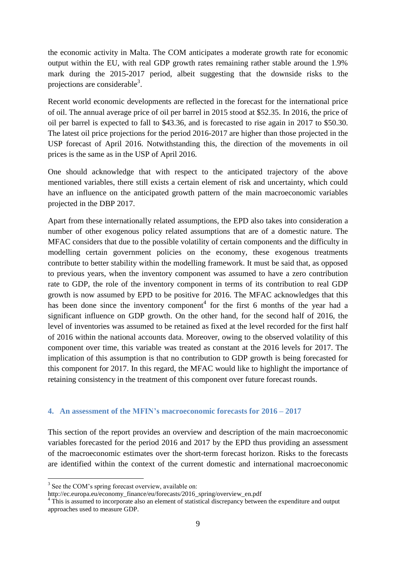the economic activity in Malta. The COM anticipates a moderate growth rate for economic output within the EU, with real GDP growth rates remaining rather stable around the 1.9% mark during the 2015-2017 period, albeit suggesting that the downside risks to the projections are considerable<sup>3</sup>.

Recent world economic developments are reflected in the forecast for the international price of oil. The annual average price of oil per barrel in 2015 stood at \$52.35. In 2016, the price of oil per barrel is expected to fall to \$43.36, and is forecasted to rise again in 2017 to \$50.30. The latest oil price projections for the period 2016-2017 are higher than those projected in the USP forecast of April 2016. Notwithstanding this, the direction of the movements in oil prices is the same as in the USP of April 2016.

One should acknowledge that with respect to the anticipated trajectory of the above mentioned variables, there still exists a certain element of risk and uncertainty, which could have an influence on the anticipated growth pattern of the main macroeconomic variables projected in the DBP 2017.

Apart from these internationally related assumptions, the EPD also takes into consideration a number of other exogenous policy related assumptions that are of a domestic nature. The MFAC considers that due to the possible volatility of certain components and the difficulty in modelling certain government policies on the economy, these exogenous treatments contribute to better stability within the modelling framework. It must be said that, as opposed to previous years, when the inventory component was assumed to have a zero contribution rate to GDP, the role of the inventory component in terms of its contribution to real GDP growth is now assumed by EPD to be positive for 2016. The MFAC acknowledges that this has been done since the inventory component<sup>4</sup> for the first 6 months of the year had a significant influence on GDP growth. On the other hand, for the second half of 2016, the level of inventories was assumed to be retained as fixed at the level recorded for the first half of 2016 within the national accounts data. Moreover, owing to the observed volatility of this component over time, this variable was treated as constant at the 2016 levels for 2017. The implication of this assumption is that no contribution to GDP growth is being forecasted for this component for 2017. In this regard, the MFAC would like to highlight the importance of retaining consistency in the treatment of this component over future forecast rounds.

#### **4. An assessment of the MFIN's macroeconomic forecasts for 2016 – 2017**

This section of the report provides an overview and description of the main macroeconomic variables forecasted for the period 2016 and 2017 by the EPD thus providing an assessment of the macroeconomic estimates over the short-term forecast horizon. Risks to the forecasts are identified within the context of the current domestic and international macroeconomic

1

<sup>&</sup>lt;sup>3</sup> See the COM's spring forecast overview, available on:

http://ec.europa.eu/economy\_finance/eu/forecasts/2016\_spring/overview\_en.pdf

<sup>&</sup>lt;sup>4</sup> This is assumed to incorporate also an element of statistical discrepancy between the expenditure and output approaches used to measure GDP.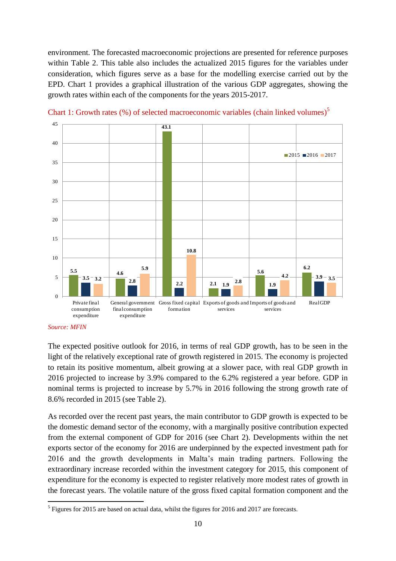environment. The forecasted macroeconomic projections are presented for reference purposes within Table 2. This table also includes the actualized 2015 figures for the variables under consideration, which figures serve as a base for the modelling exercise carried out by the EPD. Chart 1 provides a graphical illustration of the various GDP aggregates, showing the growth rates within each of the components for the years 2015-2017.



Chart 1: Growth rates (%) of selected macroeconomic variables (chain linked volumes)<sup>5</sup>

The expected positive outlook for 2016, in terms of real GDP growth, has to be seen in the light of the relatively exceptional rate of growth registered in 2015. The economy is projected to retain its positive momentum, albeit growing at a slower pace, with real GDP growth in 2016 projected to increase by 3.9% compared to the 6.2% registered a year before. GDP in nominal terms is projected to increase by 5.7% in 2016 following the strong growth rate of 8.6% recorded in 2015 (see Table 2).

As recorded over the recent past years, the main contributor to GDP growth is expected to be the domestic demand sector of the economy, with a marginally positive contribution expected from the external component of GDP for 2016 (see Chart 2). Developments within the net exports sector of the economy for 2016 are underpinned by the expected investment path for 2016 and the growth developments in Malta's main trading partners. Following the extraordinary increase recorded within the investment category for 2015, this component of expenditure for the economy is expected to register relatively more modest rates of growth in the forecast years. The volatile nature of the gross fixed capital formation component and the

*Source: MFIN*

<sup>&</sup>lt;sup>5</sup> Figures for 2015 are based on actual data, whilst the figures for 2016 and 2017 are forecasts.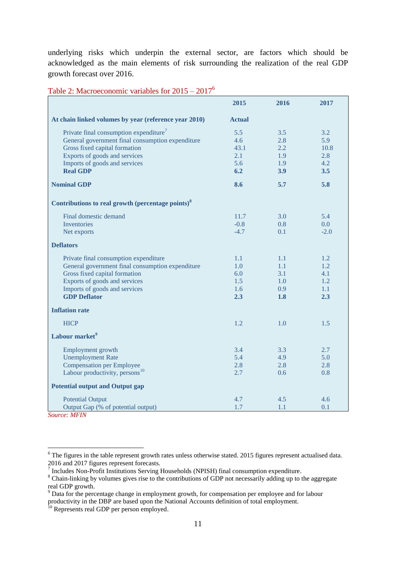underlying risks which underpin the external sector, are factors which should be acknowledged as the main elements of risk surrounding the realization of the real GDP growth forecast over 2016.

|                                                               | 2015          | 2016 | 2017   |
|---------------------------------------------------------------|---------------|------|--------|
| At chain linked volumes by year (reference year 2010)         | <b>Actual</b> |      |        |
| Private final consumption expenditure <sup>7</sup>            | 5.5           | 3.5  | 3.2    |
| General government final consumption expenditure              | 4.6           | 2.8  | 5.9    |
| Gross fixed capital formation                                 | 43.1          | 2.2  | 10.8   |
| Exports of goods and services                                 | 2.1           | 1.9  | 2.8    |
| Imports of goods and services                                 | 5.6           | 1.9  | 4.2    |
| <b>Real GDP</b>                                               | 6.2           | 3.9  | 3.5    |
| <b>Nominal GDP</b>                                            | 8.6           | 5.7  | 5.8    |
| Contributions to real growth (percentage points) <sup>8</sup> |               |      |        |
| Final domestic demand                                         | 11.7          | 3.0  | 5.4    |
| <b>Inventories</b>                                            | $-0.8$        | 0.8  | 0.0    |
| Net exports                                                   | $-4.7$        | 0.1  | $-2.0$ |
| <b>Deflators</b>                                              |               |      |        |
| Private final consumption expenditure                         | 1.1           | 1.1  | 1.2    |
| General government final consumption expenditure              | 1.0           | 1.1  | 1.2    |
| Gross fixed capital formation                                 | 6.0           | 3.1  | 4.1    |
| Exports of goods and services                                 | 1.5           | 1.0  | 1.2    |
| Imports of goods and services                                 | 1.6           | 0.9  | 1.1    |
| <b>GDP</b> Deflator                                           | 2.3           | 1.8  | 2.3    |
| <b>Inflation rate</b>                                         |               |      |        |
| <b>HICP</b>                                                   | 1.2           | 1.0  | 1.5    |
| Labour market <sup>9</sup>                                    |               |      |        |
| Employment growth                                             | 3.4           | 3.3  | 2.7    |
| <b>Unemployment Rate</b>                                      | 5.4           | 4.9  | 5.0    |
| Compensation per Employee                                     | 2.8           | 2.8  | 2.8    |
| Labour productivity, persons <sup>10</sup>                    | 2.7           | 0.6  | 0.8    |
| <b>Potential output and Output gap</b>                        |               |      |        |
| <b>Potential Output</b>                                       | 4.7           | 4.5  | 4.6    |
| Output Gap (% of potential output)                            | 1.7           | 1.1  | 0.1    |

Table 2: Macroeconomic variables for  $2015 - 2017^6$ 

*Source: MFIN*

1

<sup>&</sup>lt;sup>6</sup> The figures in the table represent growth rates unless otherwise stated. 2015 figures represent actualised data.

<sup>2016</sup> and 2017 figures represent forecasts. 7 Includes Non-Profit Institutions Serving Households (NPISH) final consumption expenditure.

<sup>&</sup>lt;sup>8</sup> Chain-linking by volumes gives rise to the contributions of GDP not necessarily adding up to the aggregate real GDP growth.

 $9^9$  Data for the percentage change in employment growth, for compensation per employee and for labour productivity in the DBP are based upon the National Accounts definition of total employment.

<sup>&</sup>lt;sup>10</sup> Represents real GDP per person employed.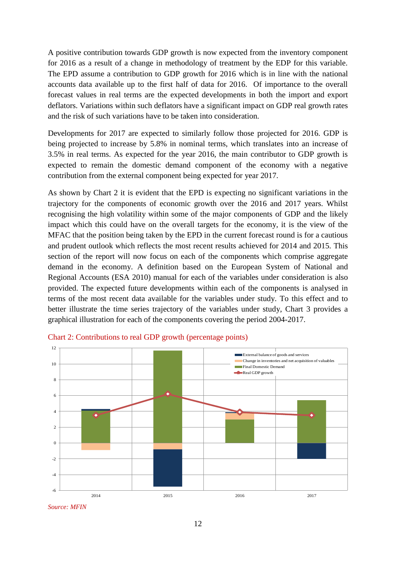A positive contribution towards GDP growth is now expected from the inventory component for 2016 as a result of a change in methodology of treatment by the EDP for this variable. The EPD assume a contribution to GDP growth for 2016 which is in line with the national accounts data available up to the first half of data for 2016. Of importance to the overall forecast values in real terms are the expected developments in both the import and export deflators. Variations within such deflators have a significant impact on GDP real growth rates and the risk of such variations have to be taken into consideration.

Developments for 2017 are expected to similarly follow those projected for 2016. GDP is being projected to increase by 5.8% in nominal terms, which translates into an increase of 3.5% in real terms. As expected for the year 2016, the main contributor to GDP growth is expected to remain the domestic demand component of the economy with a negative contribution from the external component being expected for year 2017.

As shown by Chart 2 it is evident that the EPD is expecting no significant variations in the trajectory for the components of economic growth over the 2016 and 2017 years. Whilst recognising the high volatility within some of the major components of GDP and the likely impact which this could have on the overall targets for the economy, it is the view of the MFAC that the position being taken by the EPD in the current forecast round is for a cautious and prudent outlook which reflects the most recent results achieved for 2014 and 2015. This section of the report will now focus on each of the components which comprise aggregate demand in the economy. A definition based on the European System of National and Regional Accounts (ESA 2010) manual for each of the variables under consideration is also provided. The expected future developments within each of the components is analysed in terms of the most recent data available for the variables under study. To this effect and to better illustrate the time series trajectory of the variables under study, Chart 3 provides a graphical illustration for each of the components covering the period 2004-2017.



Chart 2: Contributions to real GDP growth (percentage points)

*Source: MFIN*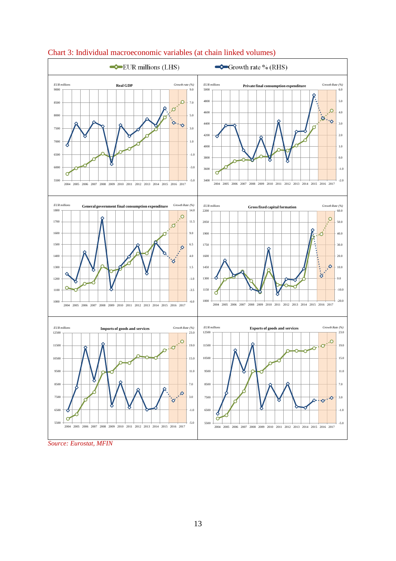

#### Chart 3: Individual macroeconomic variables (at chain linked volumes)

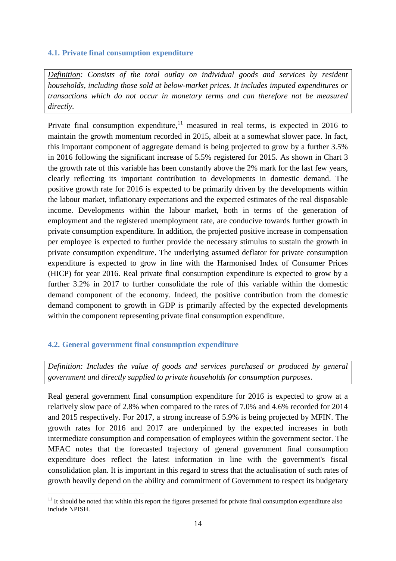## **4.1. Private final consumption expenditure**

*Definition: Consists of the total outlay on individual goods and services by resident households, including those sold at below-market prices. It includes imputed expenditures or transactions which do not occur in monetary terms and can therefore not be measured directly.*

Private final consumption expenditure, $11$  measured in real terms, is expected in 2016 to maintain the growth momentum recorded in 2015, albeit at a somewhat slower pace. In fact, this important component of aggregate demand is being projected to grow by a further 3.5% in 2016 following the significant increase of 5.5% registered for 2015. As shown in Chart 3 the growth rate of this variable has been constantly above the 2% mark for the last few years, clearly reflecting its important contribution to developments in domestic demand. The positive growth rate for 2016 is expected to be primarily driven by the developments within the labour market, inflationary expectations and the expected estimates of the real disposable income. Developments within the labour market, both in terms of the generation of employment and the registered unemployment rate, are conducive towards further growth in private consumption expenditure. In addition, the projected positive increase in compensation per employee is expected to further provide the necessary stimulus to sustain the growth in private consumption expenditure. The underlying assumed deflator for private consumption expenditure is expected to grow in line with the Harmonised Index of Consumer Prices (HICP) for year 2016. Real private final consumption expenditure is expected to grow by a further 3.2% in 2017 to further consolidate the role of this variable within the domestic demand component of the economy. Indeed, the positive contribution from the domestic demand component to growth in GDP is primarily affected by the expected developments within the component representing private final consumption expenditure.

## **4.2. General government final consumption expenditure**

*Definition: Includes the value of goods and services purchased or produced by general government and directly supplied to private households for consumption purposes.*

Real general government final consumption expenditure for 2016 is expected to grow at a relatively slow pace of 2.8% when compared to the rates of 7.0% and 4.6% recorded for 2014 and 2015 respectively. For 2017, a strong increase of 5.9% is being projected by MFIN. The growth rates for 2016 and 2017 are underpinned by the expected increases in both intermediate consumption and compensation of employees within the government sector. The MFAC notes that the forecasted trajectory of general government final consumption expenditure does reflect the latest information in line with the government's fiscal consolidation plan. It is important in this regard to stress that the actualisation of such rates of growth heavily depend on the ability and commitment of Government to respect its budgetary

<sup>1</sup>  $11$  It should be noted that within this report the figures presented for private final consumption expenditure also include NPISH.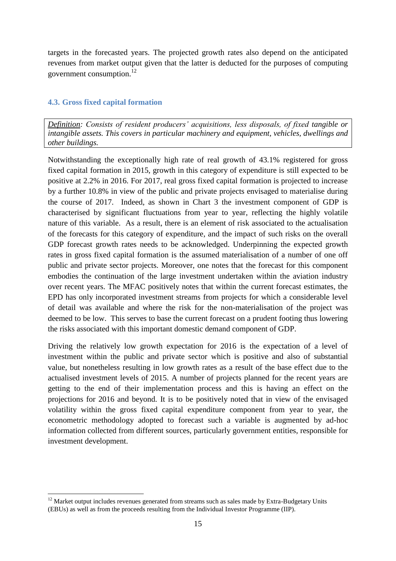targets in the forecasted years. The projected growth rates also depend on the anticipated revenues from market output given that the latter is deducted for the purposes of computing government consumption.<sup>12</sup>

## **4.3. Gross fixed capital formation**

*Definition: Consists of resident producers' acquisitions, less disposals, of fixed tangible or intangible assets. This covers in particular machinery and equipment, vehicles, dwellings and other buildings.*

Notwithstanding the exceptionally high rate of real growth of 43.1% registered for gross fixed capital formation in 2015, growth in this category of expenditure is still expected to be positive at 2.2% in 2016. For 2017, real gross fixed capital formation is projected to increase by a further 10.8% in view of the public and private projects envisaged to materialise during the course of 2017. Indeed, as shown in Chart 3 the investment component of GDP is characterised by significant fluctuations from year to year, reflecting the highly volatile nature of this variable. As a result, there is an element of risk associated to the actualisation of the forecasts for this category of expenditure, and the impact of such risks on the overall GDP forecast growth rates needs to be acknowledged. Underpinning the expected growth rates in gross fixed capital formation is the assumed materialisation of a number of one off public and private sector projects. Moreover, one notes that the forecast for this component embodies the continuation of the large investment undertaken within the aviation industry over recent years. The MFAC positively notes that within the current forecast estimates, the EPD has only incorporated investment streams from projects for which a considerable level of detail was available and where the risk for the non-materialisation of the project was deemed to be low. This serves to base the current forecast on a prudent footing thus lowering the risks associated with this important domestic demand component of GDP.

Driving the relatively low growth expectation for 2016 is the expectation of a level of investment within the public and private sector which is positive and also of substantial value, but nonetheless resulting in low growth rates as a result of the base effect due to the actualised investment levels of 2015. A number of projects planned for the recent years are getting to the end of their implementation process and this is having an effect on the projections for 2016 and beyond. It is to be positively noted that in view of the envisaged volatility within the gross fixed capital expenditure component from year to year, the econometric methodology adopted to forecast such a variable is augmented by ad-hoc information collected from different sources, particularly government entities, responsible for investment development.

<sup>1</sup> <sup>12</sup> Market output includes revenues generated from streams such as sales made by Extra-Budgetary Units (EBUs) as well as from the proceeds resulting from the Individual Investor Programme (IIP).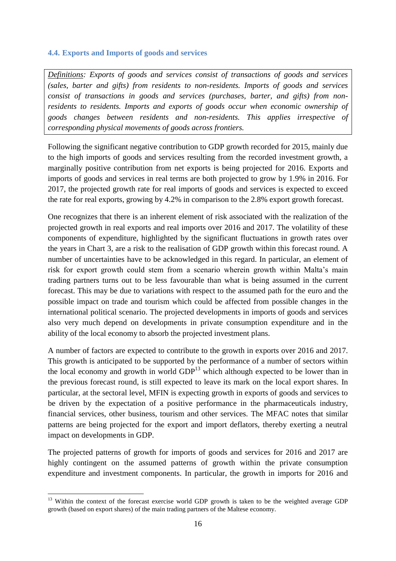### **4.4. Exports and Imports of goods and services**

*Definitions: Exports of goods and services consist of transactions of goods and services (sales, barter and gifts) from residents to non-residents. Imports of goods and services consist of transactions in goods and services (purchases, barter, and gifts) from nonresidents to residents. Imports and exports of goods occur when economic ownership of goods changes between residents and non-residents. This applies irrespective of corresponding physical movements of goods across frontiers.*

Following the significant negative contribution to GDP growth recorded for 2015, mainly due to the high imports of goods and services resulting from the recorded investment growth, a marginally positive contribution from net exports is being projected for 2016. Exports and imports of goods and services in real terms are both projected to grow by 1.9% in 2016. For 2017, the projected growth rate for real imports of goods and services is expected to exceed the rate for real exports, growing by 4.2% in comparison to the 2.8% export growth forecast.

One recognizes that there is an inherent element of risk associated with the realization of the projected growth in real exports and real imports over 2016 and 2017. The volatility of these components of expenditure, highlighted by the significant fluctuations in growth rates over the years in Chart 3, are a risk to the realisation of GDP growth within this forecast round. A number of uncertainties have to be acknowledged in this regard. In particular, an element of risk for export growth could stem from a scenario wherein growth within Malta's main trading partners turns out to be less favourable than what is being assumed in the current forecast. This may be due to variations with respect to the assumed path for the euro and the possible impact on trade and tourism which could be affected from possible changes in the international political scenario. The projected developments in imports of goods and services also very much depend on developments in private consumption expenditure and in the ability of the local economy to absorb the projected investment plans.

A number of factors are expected to contribute to the growth in exports over 2016 and 2017. This growth is anticipated to be supported by the performance of a number of sectors within the local economy and growth in world  $GDP<sup>13</sup>$  which although expected to be lower than in the previous forecast round, is still expected to leave its mark on the local export shares. In particular, at the sectoral level, MFIN is expecting growth in exports of goods and services to be driven by the expectation of a positive performance in the pharmaceuticals industry, financial services, other business, tourism and other services. The MFAC notes that similar patterns are being projected for the export and import deflators, thereby exerting a neutral impact on developments in GDP.

The projected patterns of growth for imports of goods and services for 2016 and 2017 are highly contingent on the assumed patterns of growth within the private consumption expenditure and investment components. In particular, the growth in imports for 2016 and

<sup>1</sup> <sup>13</sup> Within the context of the forecast exercise world GDP growth is taken to be the weighted average GDP growth (based on export shares) of the main trading partners of the Maltese economy.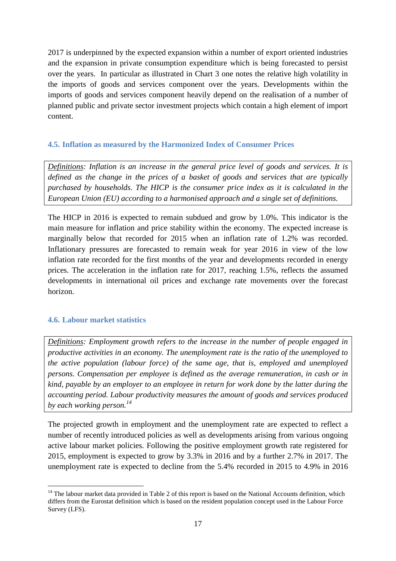2017 is underpinned by the expected expansion within a number of export oriented industries and the expansion in private consumption expenditure which is being forecasted to persist over the years. In particular as illustrated in Chart 3 one notes the relative high volatility in the imports of goods and services component over the years. Developments within the imports of goods and services component heavily depend on the realisation of a number of planned public and private sector investment projects which contain a high element of import content.

## **4.5. Inflation as measured by the Harmonized Index of Consumer Prices**

*Definitions: Inflation is an increase in the general price level of goods and services. It is defined as the change in the prices of a basket of goods and services that are typically purchased by households. The HICP is the consumer price index as it is calculated in the European Union (EU) according to a harmonised approach and a single set of definitions.*

The HICP in 2016 is expected to remain subdued and grow by 1.0%. This indicator is the main measure for inflation and price stability within the economy. The expected increase is marginally below that recorded for 2015 when an inflation rate of 1.2% was recorded. Inflationary pressures are forecasted to remain weak for year 2016 in view of the low inflation rate recorded for the first months of the year and developments recorded in energy prices. The acceleration in the inflation rate for 2017, reaching 1.5%, reflects the assumed developments in international oil prices and exchange rate movements over the forecast horizon.

## **4.6. Labour market statistics**

*Definitions: Employment growth refers to the increase in the number of people engaged in productive activities in an economy. The unemployment rate is the ratio of the unemployed to the active population (labour force) of the same age, that is, employed and unemployed persons. Compensation per employee is defined as the average remuneration, in cash or in kind, payable by an employer to an employee in return for work done by the latter during the accounting period. Labour productivity measures the amount of goods and services produced by each working person.<sup>14</sup>*

The projected growth in employment and the unemployment rate are expected to reflect a number of recently introduced policies as well as developments arising from various ongoing active labour market policies. Following the positive employment growth rate registered for 2015, employment is expected to grow by 3.3% in 2016 and by a further 2.7% in 2017. The unemployment rate is expected to decline from the 5.4% recorded in 2015 to 4.9% in 2016

<sup>&</sup>lt;u>.</u>  $14$  The labour market data provided in Table 2 of this report is based on the National Accounts definition, which differs from the Eurostat definition which is based on the resident population concept used in the Labour Force Survey (LFS).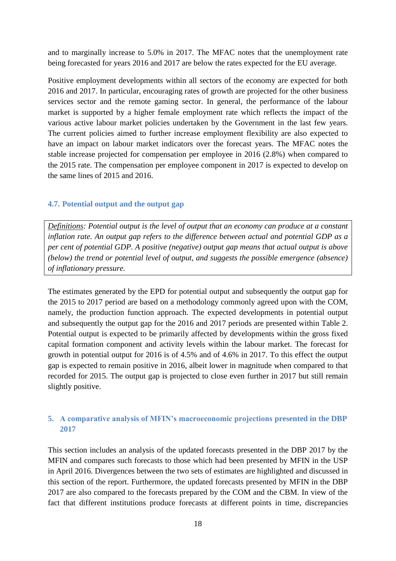and to marginally increase to 5.0% in 2017. The MFAC notes that the unemployment rate being forecasted for years 2016 and 2017 are below the rates expected for the EU average.

Positive employment developments within all sectors of the economy are expected for both 2016 and 2017. In particular, encouraging rates of growth are projected for the other business services sector and the remote gaming sector. In general, the performance of the labour market is supported by a higher female employment rate which reflects the impact of the various active labour market policies undertaken by the Government in the last few years. The current policies aimed to further increase employment flexibility are also expected to have an impact on labour market indicators over the forecast years. The MFAC notes the stable increase projected for compensation per employee in 2016 (2.8%) when compared to the 2015 rate. The compensation per employee component in 2017 is expected to develop on the same lines of 2015 and 2016.

### **4.7. Potential output and the output gap**

*Definitions: Potential output is the level of output that an economy can produce at a constant inflation rate. An output gap refers to the difference between actual and potential GDP as a per cent of potential GDP. A positive (negative) output gap means that actual output is above (below) the trend or potential level of output, and suggests the possible emergence (absence) of inflationary pressure.*

The estimates generated by the EPD for potential output and subsequently the output gap for the 2015 to 2017 period are based on a methodology commonly agreed upon with the COM, namely, the production function approach. The expected developments in potential output and subsequently the output gap for the 2016 and 2017 periods are presented within Table 2. Potential output is expected to be primarily affected by developments within the gross fixed capital formation component and activity levels within the labour market. The forecast for growth in potential output for 2016 is of 4.5% and of 4.6% in 2017. To this effect the output gap is expected to remain positive in 2016, albeit lower in magnitude when compared to that recorded for 2015. The output gap is projected to close even further in 2017 but still remain slightly positive.

## **5. A comparative analysis of MFIN's macroeconomic projections presented in the DBP 2017**

This section includes an analysis of the updated forecasts presented in the DBP 2017 by the MFIN and compares such forecasts to those which had been presented by MFIN in the USP in April 2016. Divergences between the two sets of estimates are highlighted and discussed in this section of the report. Furthermore, the updated forecasts presented by MFIN in the DBP 2017 are also compared to the forecasts prepared by the COM and the CBM. In view of the fact that different institutions produce forecasts at different points in time, discrepancies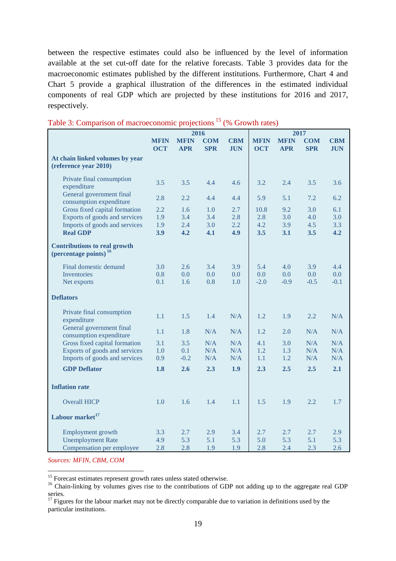between the respective estimates could also be influenced by the level of information available at the set cut-off date for the relative forecasts. Table 3 provides data for the macroeconomic estimates published by the different institutions. Furthermore, Chart 4 and Chart 5 provide a graphical illustration of the differences in the estimated individual components of real GDP which are projected by these institutions for 2016 and 2017, respectively.

|                                                                          | 2016        |             |            |            | 2017        |             |            |            |
|--------------------------------------------------------------------------|-------------|-------------|------------|------------|-------------|-------------|------------|------------|
|                                                                          | <b>MFIN</b> | <b>MFIN</b> | <b>COM</b> | <b>CBM</b> | <b>MFIN</b> | <b>MFIN</b> | <b>COM</b> | <b>CBM</b> |
|                                                                          | <b>OCT</b>  | <b>APR</b>  | <b>SPR</b> | <b>JUN</b> | <b>OCT</b>  | <b>APR</b>  | <b>SPR</b> | <b>JUN</b> |
| At chain linked volumes by year<br>(reference year 2010)                 |             |             |            |            |             |             |            |            |
| Private final consumption<br>expenditure                                 | 3.5         | 3.5         | 4.4        | 4.6        | 3.2         | 2.4         | 3.5        | 3.6        |
| General government final<br>consumption expenditure                      | 2.8         | 2.2         | 4.4        | 4.4        | 5.9         | 5.1         | 7.2        | 6.2        |
| Gross fixed capital formation                                            | 2.2         | 1.6         | 1.0        | 2.7        | 10.8        | 9.2         | 3.0        | 6.1        |
| Exports of goods and services                                            | 1.9         | 3.4         | 3.4        | 2.8        | 2.8         | 3.0         | 4.0        | 3.0        |
| Imports of goods and services                                            | 1.9         | 2.4         | 3.0        | 2.2        | 4.2         | 3.9         | 4.5        | 3.3        |
| <b>Real GDP</b>                                                          | 3.9         | 4.2         | 4.1        | 4.9        | 3.5         | 3.1         | 3.5        | 4.2        |
| <b>Contributions to real growth</b><br>(percentage points) <sup>16</sup> |             |             |            |            |             |             |            |            |
| Final domestic demand                                                    | 3.0         | 2.6         | 3.4        | 3.9        | 5.4         | 4.0         | 3.9        | 4.4        |
| Inventories                                                              | 0.8         | 0.0         | 0.0        | 0.0        | 0.0         | 0.0         | 0.0        | 0.0        |
| Net exports                                                              | 0.1         | 1.6         | 0.8        | 1.0        | $-2.0$      | $-0.9$      | $-0.5$     | $-0.1$     |
| <b>Deflators</b>                                                         |             |             |            |            |             |             |            |            |
| Private final consumption<br>expenditure                                 | 1.1         | 1.5         | 1.4        | N/A        | 1.2         | 1.9         | 2.2        | N/A        |
| General government final<br>consumption expenditure                      | 1.1         | 1.8         | N/A        | N/A        | 1.2         | 2.0         | N/A        | N/A        |
| Gross fixed capital formation                                            | 3.1         | 3.5         | N/A        | N/A        | 4.1         | 3.0         | N/A        | N/A        |
| Exports of goods and services                                            | 1.0         | 0.1         | N/A        | N/A        | 1.2         | 1.3         | N/A        | N/A        |
| Imports of goods and services                                            | 0.9         | $-0.2$      | N/A        | N/A        | 1.1         | 1.2         | N/A        | N/A        |
| <b>GDP Deflator</b>                                                      | 1.8         | 2.6         | 2.3        | 1.9        | 2.3         | 2.5         | 2.5        | 2.1        |
| <b>Inflation rate</b>                                                    |             |             |            |            |             |             |            |            |
| <b>Overall HICP</b>                                                      | 1.0         | 1.6         | 1.4        | 1.1        | 1.5         | 1.9         | 2.2        | 1.7        |
| Labour market <sup>17</sup>                                              |             |             |            |            |             |             |            |            |
| Employment growth                                                        | 3.3         | 2.7         | 2.9        | 3.4        | 2.7         | 2.7         | 2.7        | 2.9        |
| <b>Unemployment Rate</b>                                                 | 4.9         | 5.3         | 5.1        | 5.3        | 5.0         | 5.3         | 5.1        | 5.3        |
| Compensation per employee                                                | 2.8         | 2.8         | 1.9        | 1.9        | 2.8         | 2.4         | 2.3        | 2.6        |

### Table 3: Comparison of macroeconomic projections <sup>15</sup> (% Growth rates)

*Sources: MFIN, CBM, COM*

<u>.</u>

<sup>15</sup> Forecast estimates represent growth rates unless stated otherwise.

<sup>&</sup>lt;sup>16</sup> Chain-linking by volumes gives rise to the contributions of GDP not adding up to the aggregate real GDP series.

<sup>&</sup>lt;sup>17</sup> Figures for the labour market may not be directly comparable due to variation in definitions used by the particular institutions.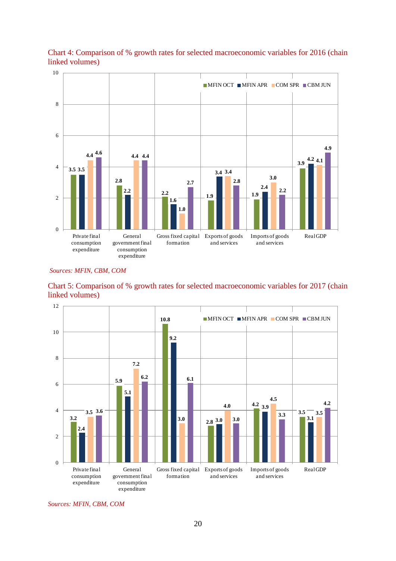

Chart 4: Comparison of % growth rates for selected macroeconomic variables for 2016 (chain linked volumes) ha<br>nk<br>10

#### *Sources: MFIN, CBM, COM*





*Sources: MFIN, CBM, COM*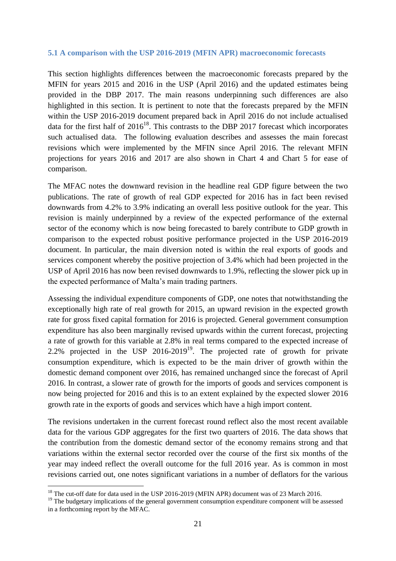#### **5.1 A comparison with the USP 2016-2019 (MFIN APR) macroeconomic forecasts**

This section highlights differences between the macroeconomic forecasts prepared by the MFIN for years 2015 and 2016 in the USP (April 2016) and the updated estimates being provided in the DBP 2017. The main reasons underpinning such differences are also highlighted in this section. It is pertinent to note that the forecasts prepared by the MFIN within the USP 2016-2019 document prepared back in April 2016 do not include actualised data for the first half of  $2016^{18}$ . This contrasts to the DBP 2017 forecast which incorporates such actualised data. The following evaluation describes and assesses the main forecast revisions which were implemented by the MFIN since April 2016. The relevant MFIN projections for years 2016 and 2017 are also shown in Chart 4 and Chart 5 for ease of comparison.

The MFAC notes the downward revision in the headline real GDP figure between the two publications. The rate of growth of real GDP expected for 2016 has in fact been revised downwards from 4.2% to 3.9% indicating an overall less positive outlook for the year. This revision is mainly underpinned by a review of the expected performance of the external sector of the economy which is now being forecasted to barely contribute to GDP growth in comparison to the expected robust positive performance projected in the USP 2016-2019 document. In particular, the main diversion noted is within the real exports of goods and services component whereby the positive projection of 3.4% which had been projected in the USP of April 2016 has now been revised downwards to 1.9%, reflecting the slower pick up in the expected performance of Malta's main trading partners.

Assessing the individual expenditure components of GDP, one notes that notwithstanding the exceptionally high rate of real growth for 2015, an upward revision in the expected growth rate for gross fixed capital formation for 2016 is projected. General government consumption expenditure has also been marginally revised upwards within the current forecast, projecting a rate of growth for this variable at 2.8% in real terms compared to the expected increase of 2.2% projected in the USP  $2016-2019^{19}$ . The projected rate of growth for private consumption expenditure, which is expected to be the main driver of growth within the domestic demand component over 2016, has remained unchanged since the forecast of April 2016. In contrast, a slower rate of growth for the imports of goods and services component is now being projected for 2016 and this is to an extent explained by the expected slower 2016 growth rate in the exports of goods and services which have a high import content.

The revisions undertaken in the current forecast round reflect also the most recent available data for the various GDP aggregates for the first two quarters of 2016. The data shows that the contribution from the domestic demand sector of the economy remains strong and that variations within the external sector recorded over the course of the first six months of the year may indeed reflect the overall outcome for the full 2016 year. As is common in most revisions carried out, one notes significant variations in a number of deflators for the various

<u>.</u>

<sup>&</sup>lt;sup>18</sup> The cut-off date for data used in the USP 2016-2019 (MFIN APR) document was of 23 March 2016.

<sup>&</sup>lt;sup>19</sup> The budgetary implications of the general government consumption expenditure component will be assessed in a forthcoming report by the MFAC.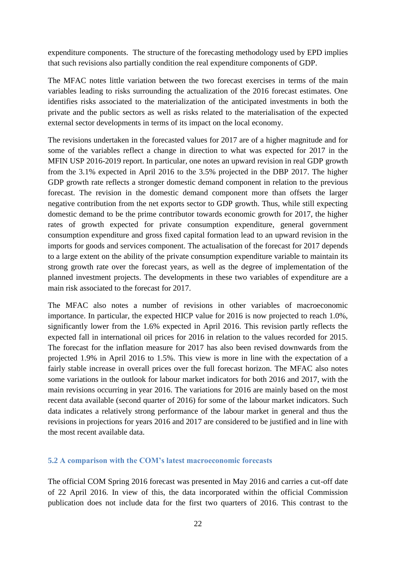expenditure components. The structure of the forecasting methodology used by EPD implies that such revisions also partially condition the real expenditure components of GDP.

The MFAC notes little variation between the two forecast exercises in terms of the main variables leading to risks surrounding the actualization of the 2016 forecast estimates. One identifies risks associated to the materialization of the anticipated investments in both the private and the public sectors as well as risks related to the materialisation of the expected external sector developments in terms of its impact on the local economy.

The revisions undertaken in the forecasted values for 2017 are of a higher magnitude and for some of the variables reflect a change in direction to what was expected for 2017 in the MFIN USP 2016-2019 report. In particular, one notes an upward revision in real GDP growth from the 3.1% expected in April 2016 to the 3.5% projected in the DBP 2017. The higher GDP growth rate reflects a stronger domestic demand component in relation to the previous forecast. The revision in the domestic demand component more than offsets the larger negative contribution from the net exports sector to GDP growth. Thus, while still expecting domestic demand to be the prime contributor towards economic growth for 2017, the higher rates of growth expected for private consumption expenditure, general government consumption expenditure and gross fixed capital formation lead to an upward revision in the imports for goods and services component. The actualisation of the forecast for 2017 depends to a large extent on the ability of the private consumption expenditure variable to maintain its strong growth rate over the forecast years, as well as the degree of implementation of the planned investment projects. The developments in these two variables of expenditure are a main risk associated to the forecast for 2017.

The MFAC also notes a number of revisions in other variables of macroeconomic importance. In particular, the expected HICP value for 2016 is now projected to reach 1.0%, significantly lower from the 1.6% expected in April 2016. This revision partly reflects the expected fall in international oil prices for 2016 in relation to the values recorded for 2015. The forecast for the inflation measure for 2017 has also been revised downwards from the projected 1.9% in April 2016 to 1.5%. This view is more in line with the expectation of a fairly stable increase in overall prices over the full forecast horizon. The MFAC also notes some variations in the outlook for labour market indicators for both 2016 and 2017, with the main revisions occurring in year 2016. The variations for 2016 are mainly based on the most recent data available (second quarter of 2016) for some of the labour market indicators. Such data indicates a relatively strong performance of the labour market in general and thus the revisions in projections for years 2016 and 2017 are considered to be justified and in line with the most recent available data.

#### **5.2 A comparison with the COM's latest macroeconomic forecasts**

The official COM Spring 2016 forecast was presented in May 2016 and carries a cut-off date of 22 April 2016. In view of this, the data incorporated within the official Commission publication does not include data for the first two quarters of 2016. This contrast to the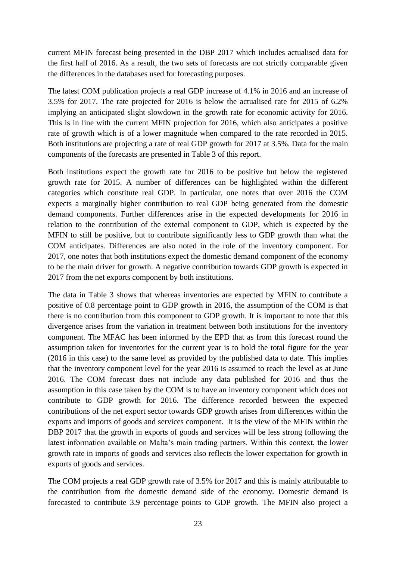current MFIN forecast being presented in the DBP 2017 which includes actualised data for the first half of 2016. As a result, the two sets of forecasts are not strictly comparable given the differences in the databases used for forecasting purposes.

The latest COM publication projects a real GDP increase of 4.1% in 2016 and an increase of 3.5% for 2017. The rate projected for 2016 is below the actualised rate for 2015 of 6.2% implying an anticipated slight slowdown in the growth rate for economic activity for 2016. This is in line with the current MFIN projection for 2016, which also anticipates a positive rate of growth which is of a lower magnitude when compared to the rate recorded in 2015. Both institutions are projecting a rate of real GDP growth for 2017 at 3.5%. Data for the main components of the forecasts are presented in Table 3 of this report.

Both institutions expect the growth rate for 2016 to be positive but below the registered growth rate for 2015. A number of differences can be highlighted within the different categories which constitute real GDP. In particular, one notes that over 2016 the COM expects a marginally higher contribution to real GDP being generated from the domestic demand components. Further differences arise in the expected developments for 2016 in relation to the contribution of the external component to GDP, which is expected by the MFIN to still be positive, but to contribute significantly less to GDP growth than what the COM anticipates. Differences are also noted in the role of the inventory component. For 2017, one notes that both institutions expect the domestic demand component of the economy to be the main driver for growth. A negative contribution towards GDP growth is expected in 2017 from the net exports component by both institutions.

The data in Table 3 shows that whereas inventories are expected by MFIN to contribute a positive of 0.8 percentage point to GDP growth in 2016, the assumption of the COM is that there is no contribution from this component to GDP growth. It is important to note that this divergence arises from the variation in treatment between both institutions for the inventory component. The MFAC has been informed by the EPD that as from this forecast round the assumption taken for inventories for the current year is to hold the total figure for the year (2016 in this case) to the same level as provided by the published data to date. This implies that the inventory component level for the year 2016 is assumed to reach the level as at June 2016. The COM forecast does not include any data published for 2016 and thus the assumption in this case taken by the COM is to have an inventory component which does not contribute to GDP growth for 2016. The difference recorded between the expected contributions of the net export sector towards GDP growth arises from differences within the exports and imports of goods and services component. It is the view of the MFIN within the DBP 2017 that the growth in exports of goods and services will be less strong following the latest information available on Malta's main trading partners. Within this context, the lower growth rate in imports of goods and services also reflects the lower expectation for growth in exports of goods and services.

The COM projects a real GDP growth rate of 3.5% for 2017 and this is mainly attributable to the contribution from the domestic demand side of the economy. Domestic demand is forecasted to contribute 3.9 percentage points to GDP growth. The MFIN also project a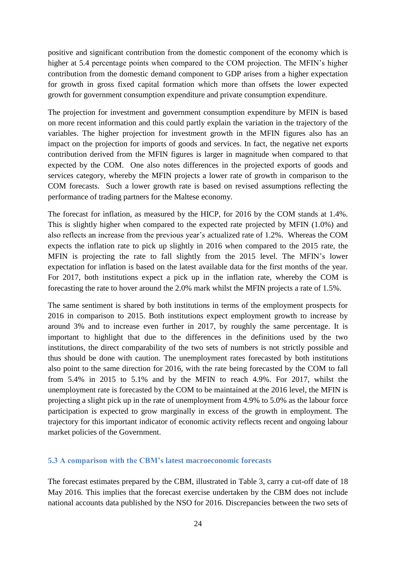positive and significant contribution from the domestic component of the economy which is higher at 5.4 percentage points when compared to the COM projection. The MFIN's higher contribution from the domestic demand component to GDP arises from a higher expectation for growth in gross fixed capital formation which more than offsets the lower expected growth for government consumption expenditure and private consumption expenditure.

The projection for investment and government consumption expenditure by MFIN is based on more recent information and this could partly explain the variation in the trajectory of the variables. The higher projection for investment growth in the MFIN figures also has an impact on the projection for imports of goods and services. In fact, the negative net exports contribution derived from the MFIN figures is larger in magnitude when compared to that expected by the COM. One also notes differences in the projected exports of goods and services category, whereby the MFIN projects a lower rate of growth in comparison to the COM forecasts. Such a lower growth rate is based on revised assumptions reflecting the performance of trading partners for the Maltese economy.

The forecast for inflation, as measured by the HICP, for 2016 by the COM stands at 1.4%. This is slightly higher when compared to the expected rate projected by MFIN (1.0%) and also reflects an increase from the previous year's actualized rate of 1.2%. Whereas the COM expects the inflation rate to pick up slightly in 2016 when compared to the 2015 rate, the MFIN is projecting the rate to fall slightly from the 2015 level. The MFIN's lower expectation for inflation is based on the latest available data for the first months of the year. For 2017, both institutions expect a pick up in the inflation rate, whereby the COM is forecasting the rate to hover around the 2.0% mark whilst the MFIN projects a rate of 1.5%.

The same sentiment is shared by both institutions in terms of the employment prospects for 2016 in comparison to 2015. Both institutions expect employment growth to increase by around 3% and to increase even further in 2017, by roughly the same percentage. It is important to highlight that due to the differences in the definitions used by the two institutions, the direct comparability of the two sets of numbers is not strictly possible and thus should be done with caution. The unemployment rates forecasted by both institutions also point to the same direction for 2016, with the rate being forecasted by the COM to fall from 5.4% in 2015 to 5.1% and by the MFIN to reach 4.9%. For 2017, whilst the unemployment rate is forecasted by the COM to be maintained at the 2016 level, the MFIN is projecting a slight pick up in the rate of unemployment from 4.9% to 5.0% as the labour force participation is expected to grow marginally in excess of the growth in employment. The trajectory for this important indicator of economic activity reflects recent and ongoing labour market policies of the Government.

#### **5.3 A comparison with the CBM's latest macroeconomic forecasts**

The forecast estimates prepared by the CBM, illustrated in Table 3, carry a cut-off date of 18 May 2016. This implies that the forecast exercise undertaken by the CBM does not include national accounts data published by the NSO for 2016. Discrepancies between the two sets of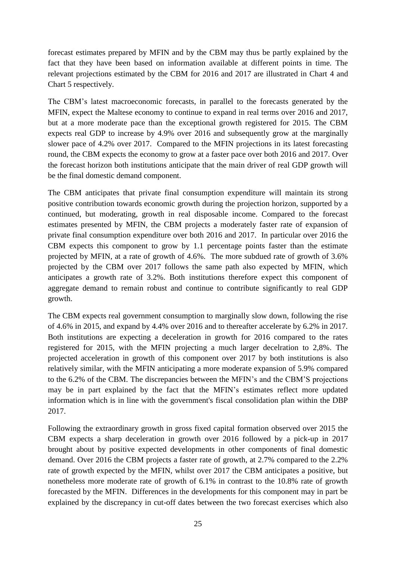forecast estimates prepared by MFIN and by the CBM may thus be partly explained by the fact that they have been based on information available at different points in time. The relevant projections estimated by the CBM for 2016 and 2017 are illustrated in Chart 4 and Chart 5 respectively.

The CBM's latest macroeconomic forecasts, in parallel to the forecasts generated by the MFIN, expect the Maltese economy to continue to expand in real terms over 2016 and 2017, but at a more moderate pace than the exceptional growth registered for 2015. The CBM expects real GDP to increase by 4.9% over 2016 and subsequently grow at the marginally slower pace of 4.2% over 2017. Compared to the MFIN projections in its latest forecasting round, the CBM expects the economy to grow at a faster pace over both 2016 and 2017. Over the forecast horizon both institutions anticipate that the main driver of real GDP growth will be the final domestic demand component.

The CBM anticipates that private final consumption expenditure will maintain its strong positive contribution towards economic growth during the projection horizon, supported by a continued, but moderating, growth in real disposable income. Compared to the forecast estimates presented by MFIN, the CBM projects a moderately faster rate of expansion of private final consumption expenditure over both 2016 and 2017. In particular over 2016 the CBM expects this component to grow by 1.1 percentage points faster than the estimate projected by MFIN, at a rate of growth of 4.6%. The more subdued rate of growth of 3.6% projected by the CBM over 2017 follows the same path also expected by MFIN, which anticipates a growth rate of 3.2%. Both institutions therefore expect this component of aggregate demand to remain robust and continue to contribute significantly to real GDP growth.

The CBM expects real government consumption to marginally slow down, following the rise of 4.6% in 2015, and expand by 4.4% over 2016 and to thereafter accelerate by 6.2% in 2017. Both institutions are expecting a deceleration in growth for 2016 compared to the rates registered for 2015, with the MFIN projecting a much larger decelration to 2,8%. The projected acceleration in growth of this component over 2017 by both institutions is also relatively similar, with the MFIN anticipating a more moderate expansion of 5.9% compared to the 6.2% of the CBM. The discrepancies between the MFIN's and the CBM'S projections may be in part explained by the fact that the MFIN's estimates reflect more updated information which is in line with the government's fiscal consolidation plan within the DBP 2017.

Following the extraordinary growth in gross fixed capital formation observed over 2015 the CBM expects a sharp deceleration in growth over 2016 followed by a pick-up in 2017 brought about by positive expected developments in other components of final domestic demand. Over 2016 the CBM projects a faster rate of growth, at 2.7% compared to the 2.2% rate of growth expected by the MFIN, whilst over 2017 the CBM anticipates a positive, but nonetheless more moderate rate of growth of 6.1% in contrast to the 10.8% rate of growth forecasted by the MFIN. Differences in the developments for this component may in part be explained by the discrepancy in cut-off dates between the two forecast exercises which also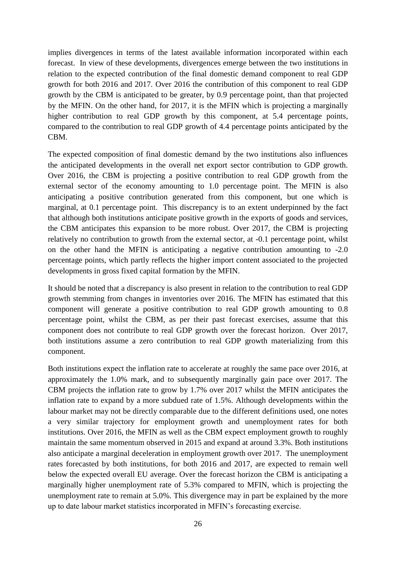implies divergences in terms of the latest available information incorporated within each forecast. In view of these developments, divergences emerge between the two institutions in relation to the expected contribution of the final domestic demand component to real GDP growth for both 2016 and 2017. Over 2016 the contribution of this component to real GDP growth by the CBM is anticipated to be greater, by 0.9 percentage point, than that projected by the MFIN. On the other hand, for 2017, it is the MFIN which is projecting a marginally higher contribution to real GDP growth by this component, at 5.4 percentage points, compared to the contribution to real GDP growth of 4.4 percentage points anticipated by the CBM.

The expected composition of final domestic demand by the two institutions also influences the anticipated developments in the overall net export sector contribution to GDP growth. Over 2016, the CBM is projecting a positive contribution to real GDP growth from the external sector of the economy amounting to 1.0 percentage point. The MFIN is also anticipating a positive contribution generated from this component, but one which is marginal, at 0.1 percentage point. This discrepancy is to an extent underpinned by the fact that although both institutions anticipate positive growth in the exports of goods and services, the CBM anticipates this expansion to be more robust. Over 2017, the CBM is projecting relatively no contribution to growth from the external sector, at -0.1 percentage point, whilst on the other hand the MFIN is anticipating a negative contribution amounting to -2.0 percentage points, which partly reflects the higher import content associated to the projected developments in gross fixed capital formation by the MFIN.

It should be noted that a discrepancy is also present in relation to the contribution to real GDP growth stemming from changes in inventories over 2016. The MFIN has estimated that this component will generate a positive contribution to real GDP growth amounting to 0.8 percentage point, whilst the CBM, as per their past forecast exercises, assume that this component does not contribute to real GDP growth over the forecast horizon. Over 2017, both institutions assume a zero contribution to real GDP growth materializing from this component.

Both institutions expect the inflation rate to accelerate at roughly the same pace over 2016, at approximately the 1.0% mark, and to subsequently marginally gain pace over 2017. The CBM projects the inflation rate to grow by 1.7% over 2017 whilst the MFIN anticipates the inflation rate to expand by a more subdued rate of 1.5%. Although developments within the labour market may not be directly comparable due to the different definitions used, one notes a very similar trajectory for employment growth and unemployment rates for both institutions. Over 2016, the MFIN as well as the CBM expect employment growth to roughly maintain the same momentum observed in 2015 and expand at around 3.3%. Both institutions also anticipate a marginal deceleration in employment growth over 2017. The unemployment rates forecasted by both institutions, for both 2016 and 2017, are expected to remain well below the expected overall EU average. Over the forecast horizon the CBM is anticipating a marginally higher unemployment rate of 5.3% compared to MFIN, which is projecting the unemployment rate to remain at 5.0%. This divergence may in part be explained by the more up to date labour market statistics incorporated in MFIN's forecasting exercise.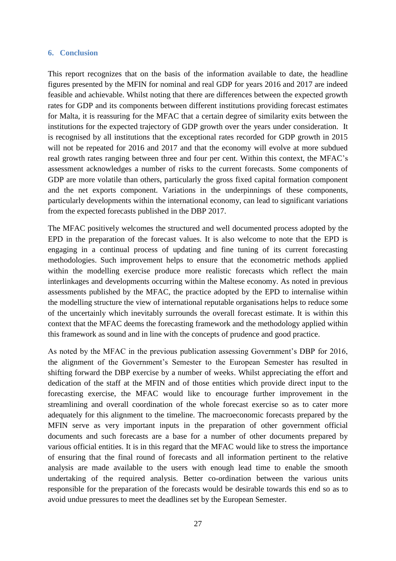#### **6. Conclusion**

This report recognizes that on the basis of the information available to date, the headline figures presented by the MFIN for nominal and real GDP for years 2016 and 2017 are indeed feasible and achievable. Whilst noting that there are differences between the expected growth rates for GDP and its components between different institutions providing forecast estimates for Malta, it is reassuring for the MFAC that a certain degree of similarity exits between the institutions for the expected trajectory of GDP growth over the years under consideration. It is recognised by all institutions that the exceptional rates recorded for GDP growth in 2015 will not be repeated for 2016 and 2017 and that the economy will evolve at more subdued real growth rates ranging between three and four per cent. Within this context, the MFAC's assessment acknowledges a number of risks to the current forecasts. Some components of GDP are more volatile than others, particularly the gross fixed capital formation component and the net exports component. Variations in the underpinnings of these components, particularly developments within the international economy, can lead to significant variations from the expected forecasts published in the DBP 2017.

The MFAC positively welcomes the structured and well documented process adopted by the EPD in the preparation of the forecast values. It is also welcome to note that the EPD is engaging in a continual process of updating and fine tuning of its current forecasting methodologies. Such improvement helps to ensure that the econometric methods applied within the modelling exercise produce more realistic forecasts which reflect the main interlinkages and developments occurring within the Maltese economy. As noted in previous assessments published by the MFAC, the practice adopted by the EPD to internalise within the modelling structure the view of international reputable organisations helps to reduce some of the uncertainly which inevitably surrounds the overall forecast estimate. It is within this context that the MFAC deems the forecasting framework and the methodology applied within this framework as sound and in line with the concepts of prudence and good practice.

As noted by the MFAC in the previous publication assessing Government's DBP for 2016, the alignment of the Government's Semester to the European Semester has resulted in shifting forward the DBP exercise by a number of weeks. Whilst appreciating the effort and dedication of the staff at the MFIN and of those entities which provide direct input to the forecasting exercise, the MFAC would like to encourage further improvement in the streamlining and overall coordination of the whole forecast exercise so as to cater more adequately for this alignment to the timeline. The macroeconomic forecasts prepared by the MFIN serve as very important inputs in the preparation of other government official documents and such forecasts are a base for a number of other documents prepared by various official entities. It is in this regard that the MFAC would like to stress the importance of ensuring that the final round of forecasts and all information pertinent to the relative analysis are made available to the users with enough lead time to enable the smooth undertaking of the required analysis. Better co-ordination between the various units responsible for the preparation of the forecasts would be desirable towards this end so as to avoid undue pressures to meet the deadlines set by the European Semester.